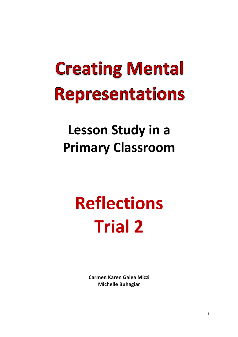## **Creating Mental Representations**

### Lesson Study in a **Primary Classroom**

# **Reflections Trial 2**

**Carmen Karen Galea Mizzi Michelle Buhagiar**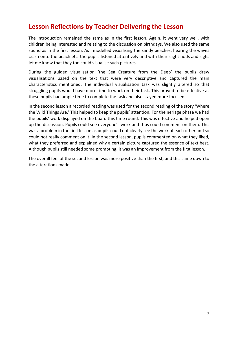#### **Lesson Reflections by Teacher Delivering the Lesson**

The introduction remained the same as in the first lesson. Again, it went very well, with children being interested and relating to the discussion on birthdays. We also used the same sound as in the first lesson. As I modelled visualising the sandy beaches, hearing the waves crash onto the beach etc. the pupils listened attentively and with their slight nods and sighs let me know that they too could visualise such pictures.

During the guided visualisation 'the Sea Creature from the Deep' the pupils drew visualisations based on the text that were very descriptive and captured the main characteristics mentioned. The individual visualisation task was slightly altered so that struggling pupils would have more time to work on their task. This proved to be effective as these pupils had ample time to complete the task and also stayed more focused.

In the second lesson a recorded reading was used for the second reading of the story 'Where the Wild Things Are.' This helped to keep the pupils' attention. For the neriage phase we had the pupils' work displayed on the board this time round. This was effective and helped open up the discussion. Pupils could see everyone's work and thus could comment on them. This was a problem in the first lesson as pupils could not clearly see the work of each other and so could not really comment on it. In the second lesson, pupils commented on what they liked, what they preferred and explained why a certain picture captured the essence of text best. Although pupils still needed some prompting, it was an improvement from the first lesson.

The overall feel of the second lesson was more positive than the first, and this came down to the alterations made.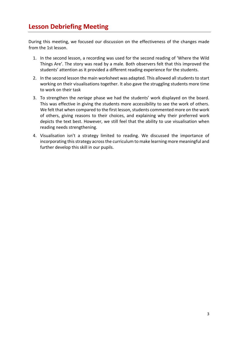#### **Lesson Debriefing Meeting**

During this meeting, we focused our discussion on the effectiveness of the changes made from the 1st lesson.

- 1. In the second lesson, a recording was used for the second reading of 'Where the Wild Things Are'. The story was read by a male. Both observers felt that this improved the students' attention as it provided a different reading experience for the students.
- 2. In the second lesson the main worksheet was adapted. This allowed all students to start working on their visualisations together. It also gave the struggling students more time to work on their task
- 3. To strengthen the *neriage* phase we had the students' work displayed on the board. This was effective in giving the students more accessibility to see the work of others. We felt that when compared to the first lesson, students commented more on the work of others, giving reasons to their choices, and explaining why their preferred work depicts the text best. However, we still feel that the ability to use visualisation when reading needs strengthening.
- 4. Visualisation isn't a strategy limited to reading. We discussed the importance of incorporating this strategy across the curriculum to make learning more meaningful and further develop this skill in our pupils.